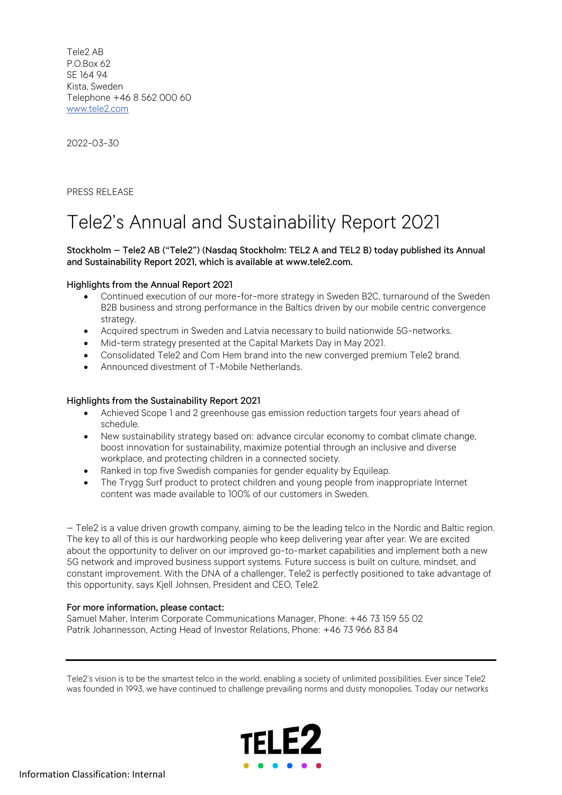Tele2 AB P.O.Box 62 SE 164 94 Kista, Sweden Telephone +46 8 562 000 60 www.tele2.com

2022-03-30

PRESS RELEASE

# Tele2's Annual and Sustainability Report 2021

## Stockholm – Tele2 AB ("Tele2") (Nasdaq Stockholm: TEL2 A and TEL2 B) today published its Annual and Sustainability Report 2021, which is available at www.tele2.com.

## Highlights from the Annual Report 2021

- Continued execution of our more-for-more strategy in Sweden B2C, turnaround of the Sweden B2B business and strong performance in the Baltics driven by our mobile centric convergence strategy.
- Acquired spectrum in Sweden and Latvia necessary to build nationwide 5G-networks.
- Mid-term strategy presented at the Capital Markets Day in May 2021.
- Consolidated Tele2 and Com Hem brand into the new converged premium Tele2 brand.
- Announced divestment of T-Mobile Netherlands.

### Highlights from the Sustainability Report 2021

- Achieved Scope 1 and 2 greenhouse gas emission reduction targets four years ahead of schedule.
- New sustainability strategy based on: advance circular economy to combat climate change, boost innovation for sustainability, maximize potential through an inclusive and diverse workplace, and protecting children in a connected society.
- Ranked in top five Swedish companies for gender equality by Equileap.
- The Trygg Surf product to protect children and young people from inappropriate Internet content was made available to 100% of our customers in Sweden.

– Tele2 is a value driven growth company, aiming to be the leading telco in the Nordic and Baltic region. The key to all of this is our hardworking people who keep delivering year after year. We are excited about the opportunity to deliver on our improved go-to-market capabilities and implement both a new 5G network and improved business support systems. Future success is built on culture, mindset, and constant improvement. With the DNA of a challenger, Tele2 is perfectly positioned to take advantage of this opportunity, says Kjell Johnsen, President and CEO, Tele2.

### For more information, please contact:

Samuel Maher, Interim Corporate Communications Manager, Phone: +46 73 159 55 02 Patrik Johannesson, Acting Head of Investor Relations, Phone: +46 73 966 83 84

Tele2's vision is to be the smartest telco in the world, enabling a society of unlimited possibilities. Ever since Tele2 was founded in 1993, we have continued to challenge prevailing norms and dusty monopolies. Today our networks